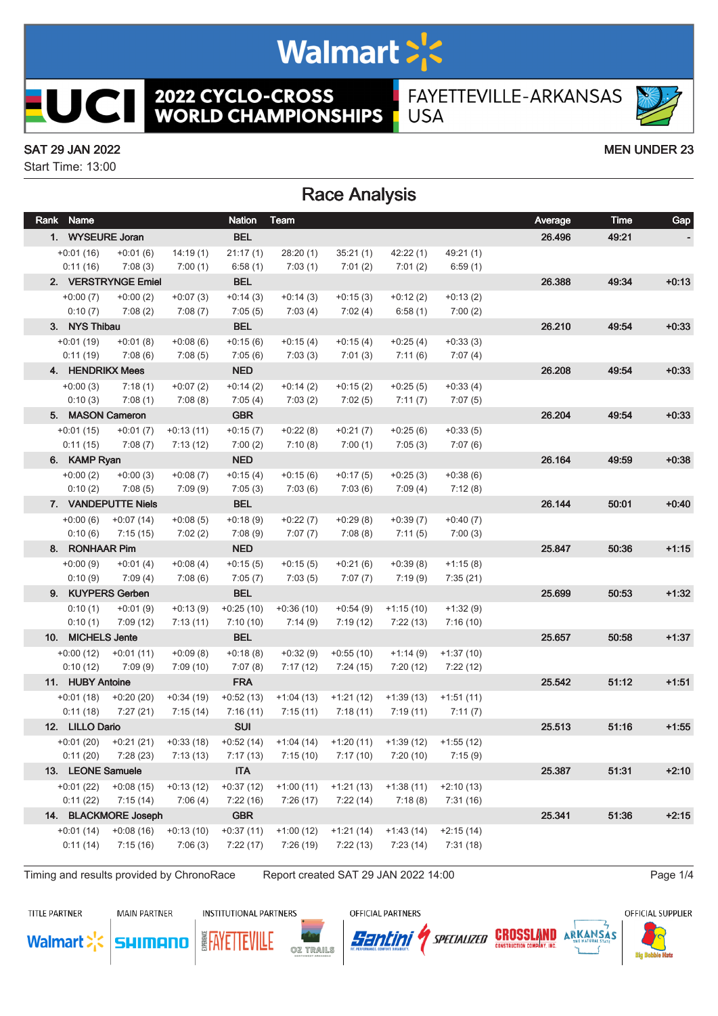# Walmart >'s

**2022 CYCLO-CROSS<br>WORLD CHAMPIONSHIPS** 

FAYETTEVILLE-ARKANSAS **USA** 

#### SAT 29 JAN 2022 MEN UNDER 23

**UCII** 

Start Time: 13:00

### Race Analysis

| Rank Name         |                         |             | <b>Nation</b> | Team                                                                                   |             |                                                 |             | Average | Time  | Gap     |
|-------------------|-------------------------|-------------|---------------|----------------------------------------------------------------------------------------|-------------|-------------------------------------------------|-------------|---------|-------|---------|
| 1. WYSEURE Joran  |                         |             | <b>BEL</b>    |                                                                                        |             |                                                 |             | 26.496  | 49:21 |         |
| $+0:01(16)$       | $+0:01(6)$              | 14:19(1)    | 21:17(1)      | 28:20(1)                                                                               | 35:21(1)    | 42:22(1)                                        | 49:21(1)    |         |       |         |
| 0:11(16)          | 7:08(3)                 | 7:00(1)     | 6:58(1)       | 7:03(1)                                                                                | 7:01(2)     | 7:01(2)                                         | 6:59(1)     |         |       |         |
|                   | 2. VERSTRYNGE Emiel     |             | <b>BEL</b>    |                                                                                        |             |                                                 |             | 26.388  | 49:34 | $+0:13$ |
| $+0:00(7)$        | $+0:00(2)$              | $+0:07(3)$  | $+0:14(3)$    | $+0:14(3)$                                                                             | $+0:15(3)$  | $+0:12(2)$                                      | $+0:13(2)$  |         |       |         |
| 0:10(7)           | 7:08(2)                 | 7:08(7)     | 7:05(5)       | 7:03(4)                                                                                | 7:02(4)     | 6:58(1)                                         | 7:00(2)     |         |       |         |
| 3. NYS Thibau     |                         |             | <b>BEL</b>    |                                                                                        |             |                                                 |             | 26.210  | 49:54 | $+0:33$ |
| $+0:01(19)$       | $+0:01(8)$              | $+0.08(6)$  | $+0:15(6)$    | $+0:15(4)$                                                                             | $+0:15(4)$  | $+0:25(4)$                                      | $+0:33(3)$  |         |       |         |
| 0:11(19)          | 7:08(6)                 | 7:08(5)     | 7:05(6)       | 7:03(3)                                                                                | 7:01(3)     | 7:11(6)                                         | 7:07(4)     |         |       |         |
| 4. HENDRIKX Mees  |                         |             | <b>NED</b>    |                                                                                        |             |                                                 |             | 26.208  | 49:54 | $+0:33$ |
| $+0:00(3)$        | 7:18(1)                 | $+0:07(2)$  | $+0:14(2)$    | $+0:14(2)$                                                                             | $+0:15(2)$  | $+0:25(5)$                                      | $+0:33(4)$  |         |       |         |
| 0:10(3)           | 7:08(1)                 | 7:08(8)     | 7:05(4)       | 7:03(2)                                                                                | 7:02(5)     | 7:11(7)                                         | 7:07(5)     |         |       |         |
| 5. MASON Cameron  |                         |             | <b>GBR</b>    |                                                                                        |             |                                                 |             | 26.204  | 49.54 | $+0.33$ |
| $+0:01(15)$       | $+0:01(7)$              | $+0:13(11)$ | $+0:15(7)$    | $+0:22(8)$                                                                             | $+0:21(7)$  | $+0:25(6)$                                      | $+0:33(5)$  |         |       |         |
| 0:11(15)          | 7:08(7)                 | 7:13(12)    | 7:00(2)       | 7:10(8)                                                                                | 7:00(1)     | 7:05(3)                                         | 7:07(6)     |         |       |         |
| 6. KAMP Ryan      |                         |             | <b>NED</b>    |                                                                                        |             |                                                 |             | 26.164  | 49.59 | $+0:38$ |
| $+0:00(2)$        | $+0:00(3)$              | $+0:08(7)$  | $+0:15(4)$    | $+0:15(6)$                                                                             | $+0:17(5)$  | $+0:25(3)$                                      | $+0.38(6)$  |         |       |         |
| 0:10(2)           | 7:08(5)                 | 7:09(9)     | 7:05(3)       | 7:03(6)                                                                                | 7:03(6)     | 7:09(4)                                         | 7:12(8)     |         |       |         |
|                   | 7. VANDEPUTTE Niels     |             | <b>BEL</b>    |                                                                                        |             |                                                 |             | 26.144  | 50:01 | $+0.40$ |
| $+0:00(6)$        | $+0:07(14)$             | $+0.08(5)$  | $+0:18(9)$    | $+0:22(7)$                                                                             | $+0:29(8)$  | $+0:39(7)$                                      | $+0:40(7)$  |         |       |         |
| 0:10(6)           | 7:15(15)                | 7:02(2)     | 7:08(9)       | 7:07(7)                                                                                | 7:08(8)     | 7:11(5)                                         | 7:00(3)     |         |       |         |
| 8. RONHAAR Pim    |                         |             | <b>NED</b>    |                                                                                        |             |                                                 |             | 25.847  | 50:36 | $+1:15$ |
| $+0:00(9)$        | $+0:01(4)$              | $+0.08(4)$  | $+0:15(5)$    | $+0:15(5)$                                                                             | $+0:21(6)$  | $+0:39(8)$                                      | $+1:15(8)$  |         |       |         |
| 0:10(9)           | 7:09(4)                 | 7:08(6)     | 7:05(7)       | 7:03(5)                                                                                | 7:07(7)     | 7:19(9)                                         | 7:35(21)    |         |       |         |
|                   | 9. KUYPERS Gerben       |             | <b>BEL</b>    |                                                                                        |             |                                                 |             | 25.699  | 50:53 | $+1:32$ |
| 0:10(1)           | $+0:01(9)$              | $+0:13(9)$  | $+0.25(10)$   | $+0.36(10)$                                                                            | $+0:54(9)$  | $+1:15(10)$                                     | $+1:32(9)$  |         |       |         |
| 0:10(1)           | 7:09(12)                | 7:13(11)    | 7:10(10)      | 7:14(9)                                                                                | 7:19(12)    | 7:22(13)                                        | 7:16(10)    |         |       |         |
| 10. MICHELS Jente |                         |             | <b>BEL</b>    |                                                                                        |             |                                                 |             | 25.657  | 50:58 | $+1:37$ |
| $+0:00(12)$       | $+0:01(11)$             | $+0.09(8)$  | $+0:18(8)$    | $+0:32(9)$                                                                             | $+0.55(10)$ | $+1:14(9)$                                      | $+1:37(10)$ |         |       |         |
| 0:10(12)          | 7:09(9)                 | 7:09(10)    | 7:07(8)       | 7:17(12)                                                                               | 7:24 (15)   | 7:20(12)                                        | 7:22(12)    |         |       |         |
| 11. HUBY Antoine  |                         |             | <b>FRA</b>    |                                                                                        |             |                                                 |             | 25.542  | 51:12 | $+1:51$ |
|                   | $+0:01(18)$ $+0:20(20)$ | $+0:34(19)$ | $+0:52(13)$   | $+1:04(13)$                                                                            | $+1:21(12)$ | $+1:39(13)$                                     | $+1:51(11)$ |         |       |         |
| 0:11(18)          | 7:27(21)                | 7:15(14)    | 7:16(11)      | 7:15 (11)                                                                              | 7:18 (11)   | 7:19 (11)                                       | 7:11(7)     |         |       |         |
| 12. LILLO Dario   |                         |             | <b>SUI</b>    |                                                                                        |             |                                                 |             | 25.513  | 51:16 | $+1:55$ |
|                   | $+0.01(20)$ $+0.21(21)$ | $+0:33(18)$ | $+0.52(14)$   |                                                                                        |             | $+1:04(14)$ $+1:20(11)$ $+1:39(12)$ $+1:55(12)$ |             |         |       |         |
|                   |                         |             |               | $0:11(20)$ $7:28(23)$ $7:13(13)$ $7:17(13)$ $7:15(10)$ $7:17(10)$ $7:20(10)$ $7:15(9)$ |             |                                                 |             |         |       |         |
| 13. LEONE Samuele |                         |             | <b>ITA</b>    |                                                                                        |             |                                                 |             | 25.387  | 51:31 | $+2:10$ |
| $+0:01(22)$       | $+0.08(15)$             | $+0:13(12)$ | $+0:37(12)$   | $+1:00(11)$                                                                            | $+1:21(13)$ | $+1:38(11)$                                     | $+2:10(13)$ |         |       |         |
| 0:11(22)          | 7:15(14)                | 7:06(4)     | 7:22(16)      | 7:26(17)                                                                               | 7:22(14)    | 7:18(8)                                         | 7:31(16)    |         |       |         |
|                   | 14. BLACKMORE Joseph    |             | <b>GBR</b>    |                                                                                        |             |                                                 |             | 25.341  | 51:36 | $+2:15$ |
| $+0:01(14)$       | $+0.08(16)$             | $+0:13(10)$ | $+0:37(11)$   | $+1:00(12)$                                                                            | $+1:21(14)$ | $+1:43(14)$                                     | $+2:15(14)$ |         |       |         |
| 0:11(14)          | 7:15(16)                | 7:06(3)     | 7:22(17)      | 7:26(19)                                                                               | 7:22(13)    | 7:23(14)                                        | 7:31(18)    |         |       |         |
|                   |                         |             |               |                                                                                        |             |                                                 |             |         |       |         |

Timing and results provided by ChronoRace Report created SAT 29 JAN 2022 14:00

**TITLE PARTNER** 

**MAIN PARTNER** 

**INSTITUTIONAL PARTNERS** 

**EAYETTEVILLE** 

OFFICIAL PARTNERS



*SPECIALIZED* **CROSSLAND**  $ARKANSAS$ 



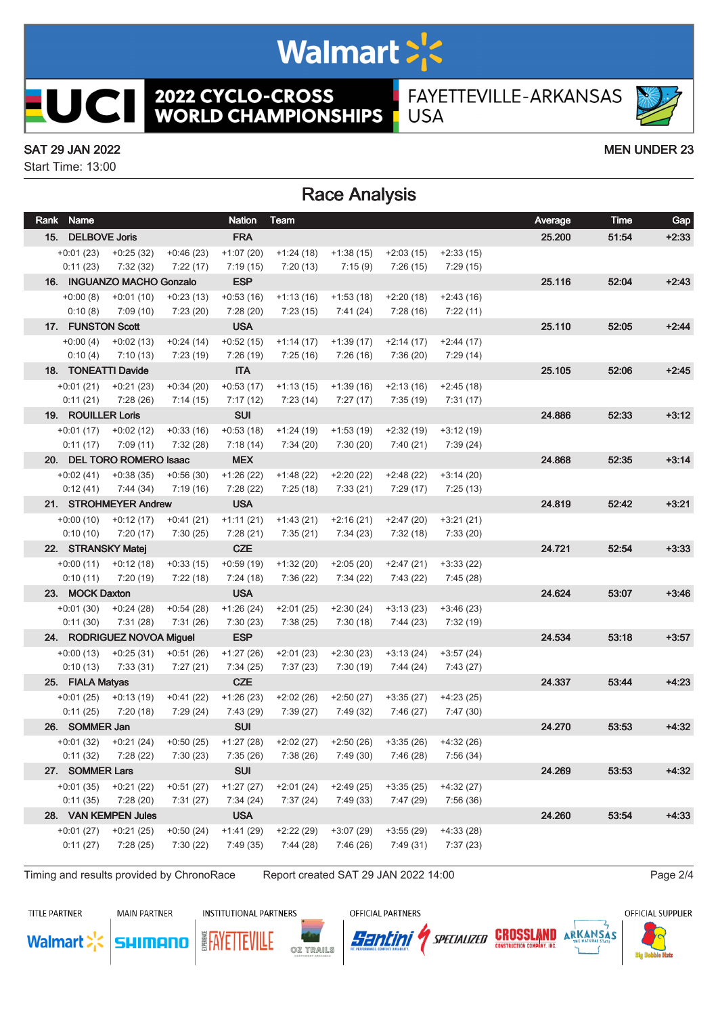# Walmart >'s

**2022 CYCLO-CROSS<br>WORLD CHAMPIONSHIPS** FAYETTEVILLE-ARKANSAS **USA** 

#### SAT 29 JAN 2022 MEN UNDER 23

**UCII** 

Start Time: 13:00

### Race Analysis

| Rank Name          |                            |             | <b>Nation</b> | Team                                                                            |             |             |             | Average | Time  | Gap     |
|--------------------|----------------------------|-------------|---------------|---------------------------------------------------------------------------------|-------------|-------------|-------------|---------|-------|---------|
| 15. DELBOVE Joris  |                            |             | <b>FRA</b>    |                                                                                 |             |             |             | 25.200  | 51:54 | $+2:33$ |
| $+0:01(23)$        | $+0.25(32)$                | $+0:46(23)$ | $+1:07(20)$   | $+1:24(18)$                                                                     | $+1:38(15)$ | $+2:03(15)$ | $+2:33(15)$ |         |       |         |
| 0:11(23)           | 7:32(32)                   | 7:22(17)    | 7:19(15)      | 7:20 (13)                                                                       | 7:15 (9)    | 7:26 (15)   | 7:29(15)    |         |       |         |
|                    | 16. INGUANZO MACHO Gonzalo |             | <b>ESP</b>    |                                                                                 |             |             |             | 25.116  | 52:04 | $+2:43$ |
| $+0:00(8)$         | $+0:01(10)$                | $+0:23(13)$ | $+0:53(16)$   | $+1:13(16)$                                                                     | $+1:53(18)$ | $+2:20(18)$ | $+2:43(16)$ |         |       |         |
| 0:10(8)            | 7:09 (10)                  | 7:23(20)    | 7:28(20)      | 7:23(15)                                                                        | 7:41 (24)   | 7:28(16)    | 7:22(11)    |         |       |         |
| 17. FUNSTON Scott  |                            |             | <b>USA</b>    |                                                                                 |             |             |             | 25.110  | 52:05 | $+2:44$ |
| $+0:00(4)$         | $+0:02(13)$                | $+0:24(14)$ | $+0:52(15)$   | $+1:14(17)$                                                                     | $+1:39(17)$ | $+2:14(17)$ | $+2:44(17)$ |         |       |         |
| 0:10(4)            | 7:10(13)                   | 7:23 (19)   | 7:26(19)      | 7:25 (16)                                                                       | 7:26 (16)   | 7:36 (20)   | 7:29 (14)   |         |       |         |
|                    | 18. TONEATTI Davide        |             | <b>ITA</b>    |                                                                                 |             |             |             | 25.105  | 52:06 | $+2:45$ |
| $+0:01(21)$        | $+0:21(23)$                | $+0:34(20)$ | $+0:53(17)$   | $+1:13(15)$                                                                     | $+1:39(16)$ | $+2:13(16)$ | $+2:45(18)$ |         |       |         |
| 0:11(21)           | 7:28(26)                   | 7:14(15)    | 7:17(12)      | 7:23 (14)                                                                       | 7:27 (17)   | 7:35 (19)   | 7:31(17)    |         |       |         |
| 19. ROUILLER Loris |                            |             | <b>SUI</b>    |                                                                                 |             |             |             | 24.886  | 52:33 | $+3:12$ |
| $+0:01(17)$        | $+0:02(12)$                | $+0:33(16)$ | $+0:53(18)$   | $+1:24(19)$                                                                     | $+1:53(19)$ | $+2:32(19)$ | $+3:12(19)$ |         |       |         |
| 0:11(17)           | 7:09 (11)                  | 7:32 (28)   | 7:18 (14)     | 7:34 (20)                                                                       | 7:30 (20)   | 7:40 (21)   | 7:39 (24)   |         |       |         |
|                    | 20. DEL TORO ROMERO Isaac  |             | <b>MEX</b>    |                                                                                 |             |             |             | 24.868  | 52:35 | $+3:14$ |
| $+0.02(41)$        | $+0.38(35)$                | $+0.56(30)$ | $+1:26(22)$   | $+1:48(22)$                                                                     | $+2:20(22)$ | $+2:48(22)$ | $+3:14(20)$ |         |       |         |
| 0:12(41)           | 7:44 (34)                  | 7:19 (16)   | 7:28 (22)     | 7:25 (18)                                                                       | 7:33 (21)   | 7:29 (17)   | 7:25(13)    |         |       |         |
|                    | 21. STROHMEYER Andrew      |             | <b>USA</b>    |                                                                                 |             |             |             | 24.819  | 52:42 | $+3:21$ |
| $+0.00(10)$        | $+0:12(17)$                | $+0:41(21)$ | $+1:11(21)$   | $+1:43(21)$                                                                     | +2:16 (21)  | $+2:47(20)$ | $+3:21(21)$ |         |       |         |
| 0:10(10)           | 7:20(17)                   | 7:30(25)    | 7:28(21)      | 7:35 (21)                                                                       | 7:34 (23)   | 7:32 (18)   | 7:33(20)    |         |       |         |
| 22. STRANSKY Matej |                            |             | <b>CZE</b>    |                                                                                 |             |             |             | 24.721  | 52:54 | $+3:33$ |
| $+0:00(11)$        | $+0:12(18)$                | $+0:33(15)$ | $+0.59(19)$   | $+1:32(20)$                                                                     | $+2:05(20)$ | $+2:47(21)$ | $+3:33(22)$ |         |       |         |
| 0:10(11)           | 7:20 (19)                  | 7:22 (18)   | 7:24 (18)     | 7:36 (22)                                                                       | 7:34 (22)   | 7:43 (22)   | 7:45 (28)   |         |       |         |
| 23. MOCK Daxton    |                            |             | <b>USA</b>    |                                                                                 |             |             |             | 24.624  | 53:07 | $+3.46$ |
| $+0:01(30)$        | $+0:24(28)$                | $+0:54(28)$ | $+1:26(24)$   | $+2:01(25)$                                                                     | $+2:30(24)$ | $+3:13(23)$ | $+3:46(23)$ |         |       |         |
| 0:11(30)           | 7:31 (28)                  | 7:31(26)    | 7:30(23)      | 7:38(25)                                                                        | 7:30(18)    | 7:44 (23)   | 7:32 (19)   |         |       |         |
|                    | 24. RODRIGUEZ NOVOA Miguel |             | <b>ESP</b>    |                                                                                 |             |             |             | 24.534  | 53:18 | $+3:57$ |
| $+0:00(13)$        | $+0:25(31)$                | $+0:51(26)$ | $+1:27(26)$   | $+2:01(23)$                                                                     | $+2:30(23)$ | $+3:13(24)$ | $+3:57(24)$ |         |       |         |
| 0:10(13)           | 7:33(31)                   | 7:27 (21)   | 7:34(25)      | 7:37 (23)                                                                       | 7:30 (19)   | 7:44 (24)   | 7:43 (27)   |         |       |         |
| 25. FIALA Matyas   |                            |             | <b>CZE</b>    |                                                                                 |             |             |             | 24.337  | 53:44 | $+4.23$ |
| $+0:01(25)$        | +0:13 (19)                 | $+0:41(22)$ | $+1:26(23)$   | $+2:02(26)$                                                                     | $+2:50(27)$ | $+3:35(27)$ | $+4:23(25)$ |         |       |         |
| 0:11(25)           | 7:20(18)                   | 7:29(24)    | 7:43 (29)     | 7:39 (27)                                                                       | 7:49 (32)   | 7:46 (27)   | 7:47 (30)   |         |       |         |
| 26. SOMMER Jan     |                            |             | <b>SUI</b>    |                                                                                 |             |             |             | 24.270  | 53:53 | $+4.32$ |
|                    | $+0.01(32)$ $+0.21(24)$    | $+0:50(25)$ | $+1:27(28)$   | +2:02 (27)                                                                      | $+2:50(26)$ | $+3:35(26)$ | +4:32 (26)  |         |       |         |
|                    |                            |             |               | 0:11 (32) 7:28 (22) 7:30 (23) 7:35 (26) 7:38 (26) 7:49 (30) 7:46 (28) 7:56 (34) |             |             |             |         |       |         |
| 27. SOMMER Lars    |                            |             | <b>SUI</b>    |                                                                                 |             |             |             | 24.269  | 53:53 | $+4:32$ |
| $+0:01(35)$        | $+0:21(22)$                | $+0:51(27)$ | $+1:27(27)$   | $+2:01(24)$                                                                     | $+2:49(25)$ | $+3:35(25)$ | $+4:32(27)$ |         |       |         |
| 0:11(35)           | 7:28 (20)                  | 7:31(27)    | 7:34(24)      | 7:37 (24)                                                                       | 7:49(33)    | 7:47 (29)   | 7:56(36)    |         |       |         |
|                    | 28. VAN KEMPEN Jules       |             | <b>USA</b>    |                                                                                 |             |             |             | 24.260  | 53:54 | $+4.33$ |
| $+0:01(27)$        | $+0:21(25)$                | $+0:50(24)$ | $+1:41(29)$   | $+2:22(29)$                                                                     | $+3:07(29)$ | $+3:55(29)$ | $+4:33(28)$ |         |       |         |
| 0:11(27)           | 7:28(25)                   | 7:30(22)    | 7:49 (35)     | 7:44(28)                                                                        | 7:46(26)    | 7:49(31)    | 7:37(23)    |         |       |         |
|                    |                            |             |               |                                                                                 |             |             |             |         |       |         |

Timing and results provided by ChronoRace Report created SAT 29 JAN 2022 14:00

**TITLE PARTNER** 

**Walmart** 

**MAIN PARTNER** 

SHIMANO

**INSTITUTIONAL PARTNERS** 

OZ TRAILS

**EAYETTEVILLE** 

OFFICIAL PARTNERS



OFFICIAL SUPPLIER

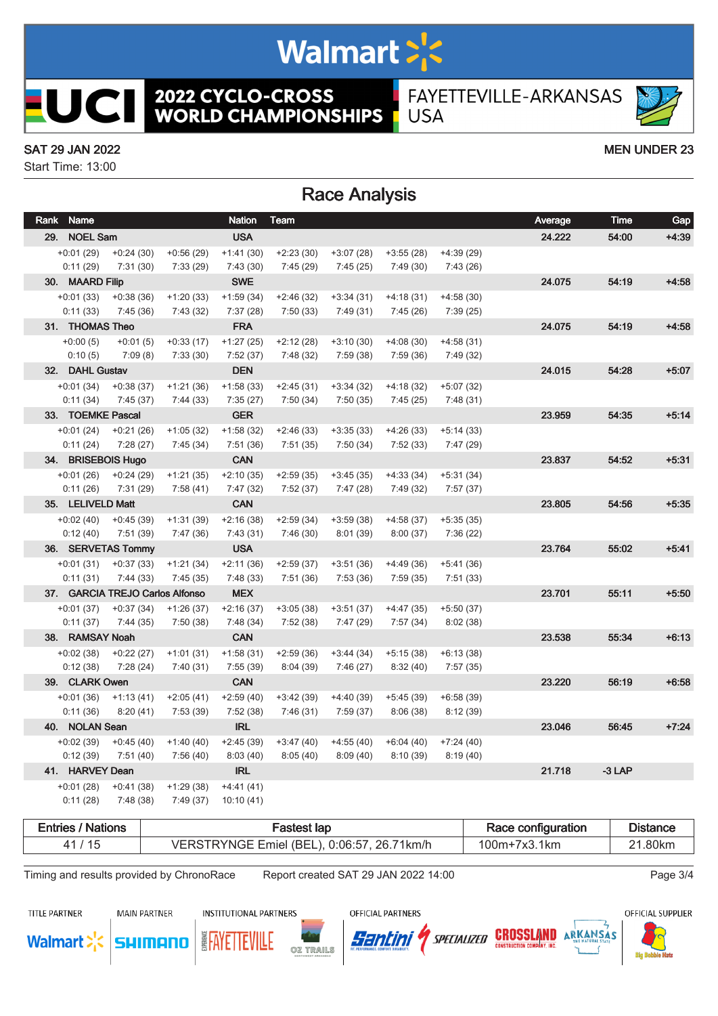# Walmart >'s

**2022 CYCLO-CROSS<br>WORLD CHAMPIONSHIPS** 

FAYETTEVILLE-ARKANSAS **USA** 

#### SAT 29 JAN 2022 MEN UNDER 23

L

ICII

Start Time: 13:00

### Race Analysis

| Rank Name          |                                 |             | <b>Nation</b> | <b>Team</b> |             |             |             | Average | <b>Time</b> | Gap     |
|--------------------|---------------------------------|-------------|---------------|-------------|-------------|-------------|-------------|---------|-------------|---------|
| 29. NOEL Sam       |                                 |             | <b>USA</b>    |             |             |             |             | 24.222  | 54:00       | $+4.39$ |
| $+0:01(29)$        | $+0:24(30)$                     | $+0:56(29)$ | $+1:41(30)$   | $+2:23(30)$ | $+3:07(28)$ | $+3:55(28)$ | $+4:39(29)$ |         |             |         |
| 0:11(29)           | 7:31(30)                        | 7:33(29)    | 7:43(30)      | 7:45(29)    | 7:45(25)    | 7:49(30)    | 7:43(26)    |         |             |         |
| 30. MAARD Filip    |                                 |             | <b>SWE</b>    |             |             |             |             | 24.075  | 54:19       | $+4:58$ |
| $+0:01(33)$        | $+0:38(36)$                     | $+1:20(33)$ | $+1:59(34)$   | $+2:46(32)$ | $+3:34(31)$ | $+4:18(31)$ | $+4:58(30)$ |         |             |         |
| 0:11(33)           | 7:45(36)                        | 7:43(32)    | 7:37(28)      | 7:50(33)    | 7:49(31)    | 7:45 (26)   | 7:39(25)    |         |             |         |
| 31. THOMAS Theo    |                                 |             | <b>FRA</b>    |             |             |             |             | 24.075  | 54:19       | $+4:58$ |
| $+0:00(5)$         | $+0:01(5)$                      | $+0:33(17)$ | $+1:27(25)$   | $+2:12(28)$ | $+3:10(30)$ | $+4:08(30)$ | $+4:58(31)$ |         |             |         |
| 0:10(5)            | 7:09(8)                         | 7:33(30)    | 7:52(37)      | 7:48 (32)   | 7:59 (38)   | 7:59(36)    | 7:49 (32)   |         |             |         |
| 32. DAHL Gustav    |                                 |             | <b>DEN</b>    |             |             |             |             | 24.015  | 54:28       | $+5:07$ |
| $+0:01(34)$        | $+0:38(37)$                     | $+1:21(36)$ | $+1:58(33)$   | $+2:45(31)$ | $+3:34(32)$ | $+4:18(32)$ | $+5:07(32)$ |         |             |         |
| 0:11(34)           | 7:45(37)                        | 7:44(33)    | 7:35(27)      | 7:50(34)    | 7:50(35)    | 7:45(25)    | 7:48(31)    |         |             |         |
| 33. TOEMKE Pascal  |                                 |             | <b>GER</b>    |             |             |             |             | 23.959  | 54:35       | $+5:14$ |
| $+0:01(24)$        | $+0:21(26)$                     | $+1:05(32)$ | $+1:58(32)$   | $+2:46(33)$ | $+3:35(33)$ | $+4:26(33)$ | $+5:14(33)$ |         |             |         |
| 0:11(24)           | 7:28(27)                        | 7:45(34)    | 7:51(36)      | 7:51(35)    | 7:50(34)    | 7:52(33)    | 7:47 (29)   |         |             |         |
| 34. BRISEBOIS Hugo |                                 |             | <b>CAN</b>    |             |             |             |             | 23.837  | 54:52       | $+5:31$ |
| $+0:01(26)$        | $+0:24(29)$                     | $+1:21(35)$ | $+2:10(35)$   | $+2:59(35)$ | $+3:45(35)$ | $+4:33(34)$ | $+5:31(34)$ |         |             |         |
| 0:11(26)           | 7:31(29)                        | 7:58(41)    | 7:47(32)      | 7:52(37)    | 7:47(28)    | 7:49 (32)   | 7:57 (37)   |         |             |         |
| 35. LELIVELD Matt  |                                 |             | <b>CAN</b>    |             |             |             |             | 23.805  | 54:56       | $+5:35$ |
| $+0.02(40)$        | $+0.45(39)$                     | $+1:31(39)$ | $+2:16(38)$   | $+2:59(34)$ | $+3:59(38)$ | $+4:58(37)$ | $+5:35(35)$ |         |             |         |
| 0:12(40)           | 7:51 (39)                       | 7:47(36)    | 7:43(31)      | 7:46(30)    | 8:01(39)    | 8:00(37)    | 7:36(22)    |         |             |         |
|                    | 36. SERVETAS Tommy              |             | <b>USA</b>    |             |             |             |             | 23.764  | 55:02       | $+5:41$ |
| $+0:01(31)$        | $+0:37(33)$                     | $+1:21(34)$ | $+2:11(36)$   | $+2:59(37)$ | $+3:51(36)$ | $+4:49(36)$ | $+5:41(36)$ |         |             |         |
| 0:11(31)           | 7:44(33)                        | 7:45(35)    | 7:48(33)      | 7:51(36)    | 7:53(36)    | 7:59(35)    | 7:51(33)    |         |             |         |
|                    | 37. GARCIA TREJO Carlos Alfonso |             | <b>MEX</b>    |             |             |             |             | 23.701  | 55:11       | $+5:50$ |
| $+0:01(37)$        | $+0:37(34)$                     | $+1:26(37)$ | $+2:16(37)$   | $+3:05(38)$ | $+3:51(37)$ | $+4:47(35)$ | $+5:50(37)$ |         |             |         |
| 0:11(37)           | 7:44(35)                        | 7:50(38)    | 7:48(34)      | 7:52(38)    | 7:47(29)    | 7:57 (34)   | 8:02(38)    |         |             |         |
| 38. RAMSAY Noah    |                                 |             | <b>CAN</b>    |             |             |             |             | 23.538  | 55:34       | $+6:13$ |
| $+0.02(38)$        | $+0:22(27)$                     | $+1:01(31)$ | $+1:58(31)$   | $+2:59(36)$ | $+3:44(34)$ | $+5:15(38)$ | $+6:13(38)$ |         |             |         |
| 0:12(38)           | 7:28(24)                        | 7:40(31)    | 7:55(39)      | 8:04(39)    | 7:46(27)    | 8:32(40)    | 7:57(35)    |         |             |         |
| 39. CLARK Owen     |                                 |             | <b>CAN</b>    |             |             |             |             | 23.220  | 56:19       | $+6:58$ |
| $+0:01(36)$        | $+1:13(41)$                     | $+2:05(41)$ | $+2:59(40)$   | $+3:42(39)$ | $+4:40(39)$ | $+5:45(39)$ | $+6:58(39)$ |         |             |         |
| 0:11(36)           | 8:20(41)                        | 7:53(39)    | 7:52(38)      | 7:46(31)    | 7:59(37)    | 8:06(38)    | 8:12(39)    |         |             |         |
| 40. NOLAN Sean     |                                 |             | <b>IRL</b>    |             |             |             |             | 23.046  | 56:45       | $+7:24$ |
| $+0.02(39)$        | $+0:45(40)$                     | $+1:40(40)$ | $+2:45(39)$   | $+3:47(40)$ | $+4:55(40)$ | $+6:04(40)$ | $+7:24(40)$ |         |             |         |
| 0:12(39)           | 7:51 (40)                       | 7:56(40)    | 8:03(40)      | 8:05(40)    | 8:09(40)    | 8:10(39)    | 8:19(40)    |         |             |         |
| 41. HARVEY Dean    |                                 |             | <b>IRL</b>    |             |             |             |             | 21.718  | $-3$ LAP    |         |
| $+0:01(28)$        | $+0:41(38)$                     | $+1:29(38)$ | $+4:41(41)$   |             |             |             |             |         |             |         |
| 0:11(28)           | 7:48 (38)                       | 7:49(37)    | 10:10 (41)    |             |             |             |             |         |             |         |
|                    |                                 |             |               |             |             |             |             |         |             |         |

| ' Nations<br>=ntries | lad<br>-astes:                             | Race configuration | Distance |
|----------------------|--------------------------------------------|--------------------|----------|
| -15                  | VERSTRYNGE Emiel (BEL), 0:06:57, 26.71km/h | ີ 1km<br>$00m+$    | .80kn    |

Timing and results provided by ChronoRace Report created SAT 29 JAN 2022 14:00

**TITLE PARTNER** 

**Walmart** 

**MAIN PARTNER** 

SHIMANO

**INSTITUTIONAL PARTNERS** 

OFFICIAL PARTNERS

OFFICIAL SUPPLIER